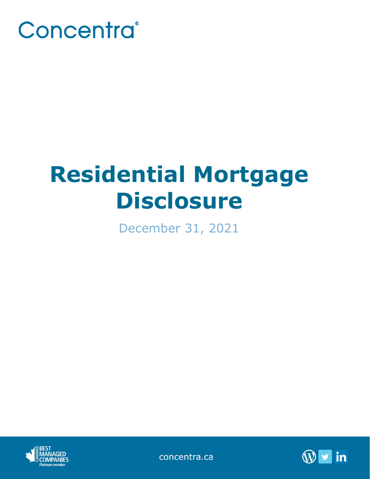

# **Residential Mortgage Disclosure**

December 31, 2021



concentra.ca

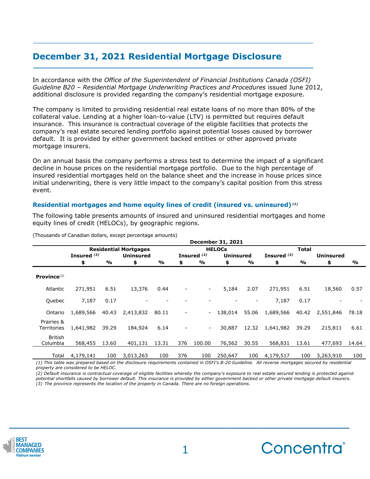# **December 31, 2021 Residential Mortgage Disclosure**

In accordance with the *Office of the Superintendent of Financial Institutions Canada (OSFI) Guideline B20 – Residential Mortgage Underwriting Practices and Procedures* issued June 2012, additional disclosure is provided regarding the company's residential mortgage exposure.

The company is limited to providing residential real estate loans of no more than 80% of the collateral value. Lending at a higher loan-to-value (LTV) is permitted but requires default insurance. This insurance is contractual coverage of the eligible facilities that protects the company's real estate secured lending portfolio against potential losses caused by borrower default. It is provided by either government backed entities or other approved private mortgage insurers.

On an annual basis the company performs a stress test to determine the impact of a significant decline in house prices on the residential mortgage portfolio. Due to the high percentage of insured residential mortgages held on the balance sheet and the increase in house prices since initial underwriting, there is very little impact to the company's capital position from this stress event.

## **Residential mortgages and home equity lines of credit (insured vs. uninsured)** *(1)*

The following table presents amounts of insured and uninsured residential mortgages and home equity lines of credit (HELOCs), by geographic regions.

|                            | <b>December 31, 2021</b>     |       |                  |       |                          |                          |                  |       |               |       |                  |       |
|----------------------------|------------------------------|-------|------------------|-------|--------------------------|--------------------------|------------------|-------|---------------|-------|------------------|-------|
|                            | <b>Residential Mortgages</b> |       |                  |       | <b>HELOCS</b>            |                          |                  |       | Total         |       |                  |       |
|                            | Insured <sup>(2)</sup>       |       | <b>Uninsured</b> |       |                          | Insured <sup>(2)</sup>   | <b>Uninsured</b> |       | Insured $(2)$ |       | <b>Uninsured</b> |       |
|                            | \$                           | %     | \$               | %     | \$                       | %                        | \$               | %     | \$            | %     | \$               | %     |
| Province $(3)$             |                              |       |                  |       |                          |                          |                  |       |               |       |                  |       |
| Atlantic                   | 271,951                      | 6.51  | 13,376           | 0.44  | $\overline{\phantom{m}}$ | $\blacksquare$           | 5,184            | 2.07  | 271,951       | 6.51  | 18,560           | 0.57  |
| Quebec                     | 7,187                        | 0.17  |                  |       |                          |                          |                  |       | 7,187         | 0.17  |                  |       |
| Ontario                    | 1,689,566                    | 40.43 | 2,413,832        | 80.11 | $\overline{\phantom{a}}$ | $\overline{\phantom{a}}$ | 138,014          | 55.06 | 1,689,566     | 40.42 | 2,551,846        | 78.18 |
| Prairies &<br>Territories  | 1,641,982                    | 39.29 | 184,924          | 6.14  |                          | $\blacksquare$           | 30,887           | 12.32 | 1,641,982     | 39.29 | 215,811          | 6.61  |
| <b>British</b><br>Columbia | 568,455                      | 13.60 | 401,131          | 13.31 | 376                      | 100.00                   | 76,562           | 30.55 | 568,831       | 13.61 | 477,693          | 14.64 |
| Total                      | 4,179,141                    | 100   | 3,013,263        | 100   | 376                      | 100                      | 250,647          | 100   | 4,179,517     | 100   | 3,263,910        | 100   |

(Thousands of Canadian dollars, except percentage amounts)

*(1) This table was prepared based on the disclosure requirements contained in OSFI's B-20 Guideline. All reverse mortgages secured by residential property are considered to be HELOC.*

*(2) Default insurance is contractual coverage of eligible facilities whereby the company's exposure to real estate secured lending is protected against potential shortfalls caused by borrower default. This insurance is provided by either government backed or other private mortgage default insurers. (3) The province represents the location of the property in Canada. There are no foreign operations.*



**\_\_\_\_\_\_\_\_\_\_\_\_\_\_\_\_\_\_\_\_\_\_\_\_\_\_\_\_\_\_\_\_\_\_\_\_\_\_\_\_\_\_\_\_**